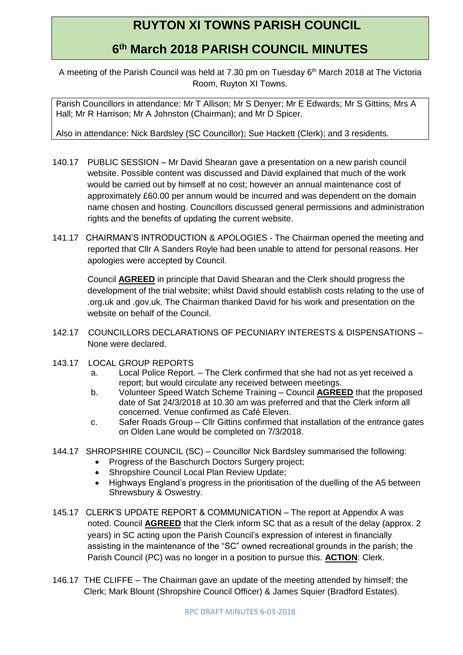## **RUYTON XI TOWNS PARISH COUNCIL**

## **6 th March 2018 PARISH COUNCIL MINUTES**

A meeting of the Parish Council was held at 7.30 pm on Tuesday 6<sup>th</sup> March 2018 at The Victoria Room, Ruyton XI Towns.

Parish Councillors in attendance: Mr T Allison; Mr S Denyer; Mr E Edwards; Mr S Gittins; Mrs A Hall; Mr R Harrison; Mr A Johnston (Chairman); and Mr D Spicer.

Also in attendance: Nick Bardsley (SC Councillor); Sue Hackett (Clerk); and 3 residents.

- 140.17 PUBLIC SESSION Mr David Shearan gave a presentation on a new parish council website. Possible content was discussed and David explained that much of the work would be carried out by himself at no cost; however an annual maintenance cost of approximately £60.00 per annum would be incurred and was dependent on the domain name chosen and hosting. Councillors discussed general permissions and administration rights and the benefits of updating the current website.
- 141.17 CHAIRMAN'S INTRODUCTION & APOLOGIES The Chairman opened the meeting and reported that Cllr A Sanders Royle had been unable to attend for personal reasons. Her apologies were accepted by Council.

Council **AGREED** in principle that David Shearan and the Clerk should progress the development of the trial website; whilst David should establish costs relating to the use of .org.uk and .gov.uk. The Chairman thanked David for his work and presentation on the website on behalf of the Council.

- 142.17 COUNCILLORS DECLARATIONS OF PECUNIARY INTERESTS & DISPENSATIONS None were declared.
- 143.17 LOCAL GROUP REPORTS
	- a. Local Police Report. The Clerk confirmed that she had not as yet received a report; but would circulate any received between meetings.
	- b. Volunteer Speed Watch Scheme Training Council **AGREED** that the proposed date of Sat 24/3/2018 at 10.30 am was preferred and that the Clerk inform all concerned. Venue confirmed as Café Eleven.
	- c. Safer Roads Group Cllr Gittins confirmed that installation of the entrance gates on Olden Lane would be completed on 7/3/2018.
- 144.17 SHROPSHIRE COUNCIL (SC) Councillor Nick Bardsley summarised the following:
	- Progress of the Baschurch Doctors Surgery project;
	- Shropshire Council Local Plan Review Update;
	- Highways England's progress in the prioritisation of the duelling of the A5 between Shrewsbury & Oswestry.
- 145.17 CLERK'S UPDATE REPORT & COMMUNICATION The report at Appendix A was noted. Council **AGREED** that the Clerk inform SC that as a result of the delay (approx. 2 years) in SC acting upon the Parish Council's expression of interest in financially assisting in the maintenance of the "SC" owned recreational grounds in the parish; the Parish Council (PC) was no longer in a position to pursue this. **ACTION**: Clerk.
- 146.17 THE CLIFFE The Chairman gave an update of the meeting attended by himself; the Clerk; Mark Blount (Shropshire Council Officer) & James Squier (Bradford Estates).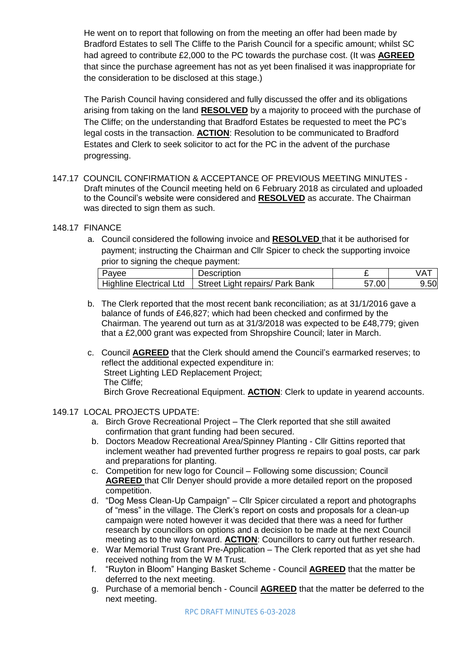He went on to report that following on from the meeting an offer had been made by Bradford Estates to sell The Cliffe to the Parish Council for a specific amount; whilst SC had agreed to contribute £2,000 to the PC towards the purchase cost. (It was **AGREED**  that since the purchase agreement has not as yet been finalised it was inappropriate for the consideration to be disclosed at this stage.)

The Parish Council having considered and fully discussed the offer and its obligations arising from taking on the land **RESOLVED** by a majority to proceed with the purchase of The Cliffe; on the understanding that Bradford Estates be requested to meet the PC's legal costs in the transaction. **ACTION**: Resolution to be communicated to Bradford Estates and Clerk to seek solicitor to act for the PC in the advent of the purchase progressing.

147.17 COUNCIL CONFIRMATION & ACCEPTANCE OF PREVIOUS MEETING MINUTES - Draft minutes of the Council meeting held on 6 February 2018 as circulated and uploaded to the Council's website were considered and **RESOLVED** as accurate. The Chairman was directed to sign them as such.

## 148.17 FINANCE

a. Council considered the following invoice and **RESOLVED** that it be authorised for payment; instructing the Chairman and Cllr Spicer to check the supporting invoice prior to signing the cheque payment:

| Payee                   | Description                     |       |      |
|-------------------------|---------------------------------|-------|------|
| Highline Electrical Ltd | Street Light repairs/ Park Bank | 57.00 | 9.50 |

- b. The Clerk reported that the most recent bank reconciliation; as at 31/1/2016 gave a balance of funds of £46,827; which had been checked and confirmed by the Chairman. The yearend out turn as at 31/3/2018 was expected to be £48,779; given that a £2,000 grant was expected from Shropshire Council; later in March.
- c. Council **AGREED** that the Clerk should amend the Council's earmarked reserves; to reflect the additional expected expenditure in: Street Lighting LED Replacement Project; The Cliffe; Birch Grove Recreational Equipment. **ACTION**: Clerk to update in yearend accounts.

## 149.17 LOCAL PROJECTS UPDATE:

- a. Birch Grove Recreational Project The Clerk reported that she still awaited confirmation that grant funding had been secured.
- b. Doctors Meadow Recreational Area/Spinney Planting Cllr Gittins reported that inclement weather had prevented further progress re repairs to goal posts, car park and preparations for planting.
- c. Competition for new logo for Council Following some discussion; Council **AGREED** that Cllr Denyer should provide a more detailed report on the proposed competition.
- d. "Dog Mess Clean-Up Campaign" Cllr Spicer circulated a report and photographs of "mess" in the village. The Clerk's report on costs and proposals for a clean-up campaign were noted however it was decided that there was a need for further research by councillors on options and a decision to be made at the next Council meeting as to the way forward. **ACTION**: Councillors to carry out further research.
- e. War Memorial Trust Grant Pre-Application The Clerk reported that as yet she had received nothing from the W M Trust.
- f. "Ruyton in Bloom" Hanging Basket Scheme Council **AGREED** that the matter be deferred to the next meeting.
- g. Purchase of a memorial bench Council **AGREED** that the matter be deferred to the next meeting.